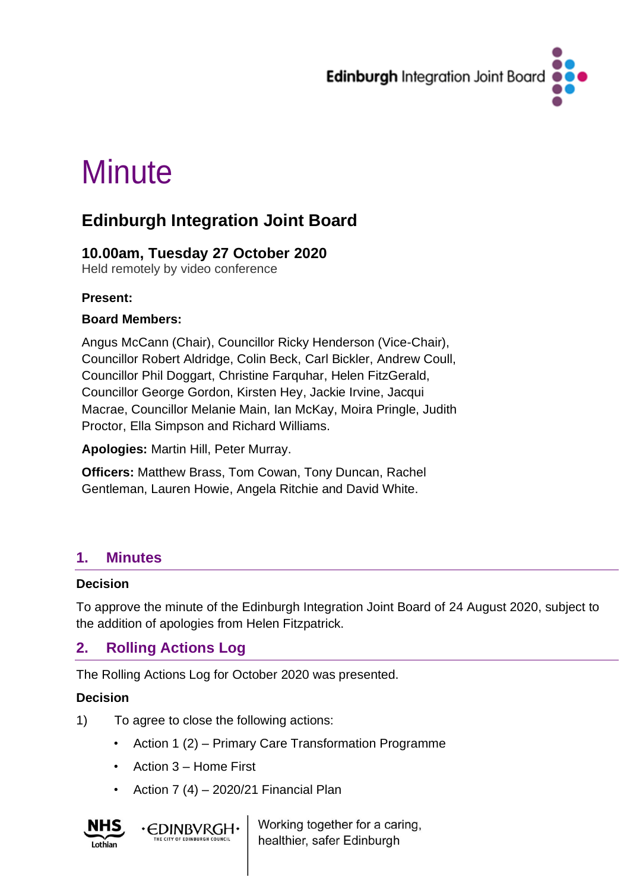

# **Minute**

## **Edinburgh Integration Joint Board**

## **10.00am, Tuesday 27 October 2020**

Held remotely by video conference

#### **Present:**

#### **Board Members:**

Angus McCann (Chair), Councillor Ricky Henderson (Vice-Chair), Councillor Robert Aldridge, Colin Beck, Carl Bickler, Andrew Coull, Councillor Phil Doggart, Christine Farquhar, Helen FitzGerald, Councillor George Gordon, Kirsten Hey, Jackie Irvine, Jacqui Macrae, Councillor Melanie Main, Ian McKay, Moira Pringle, Judith Proctor, Ella Simpson and Richard Williams.

**Apologies:** Martin Hill, Peter Murray.

**Officers:** Matthew Brass, Tom Cowan, Tony Duncan, Rachel Gentleman, Lauren Howie, Angela Ritchie and David White.

## **1. Minutes**

#### **Decision**

To approve the minute of the Edinburgh Integration Joint Board of 24 August 2020, subject to the addition of apologies from Helen Fitzpatrick.

## **2. Rolling Actions Log**

The Rolling Actions Log for October 2020 was presented.

#### **Decision**

- 1) To agree to close the following actions:
	- Action 1 (2) Primary Care Transformation Programme
	- Action 3 Home First

**·CDINBVRGH·** 

• Action 7 (4) – 2020/21 Financial Plan



Working together for a caring, healthier, safer Edinburgh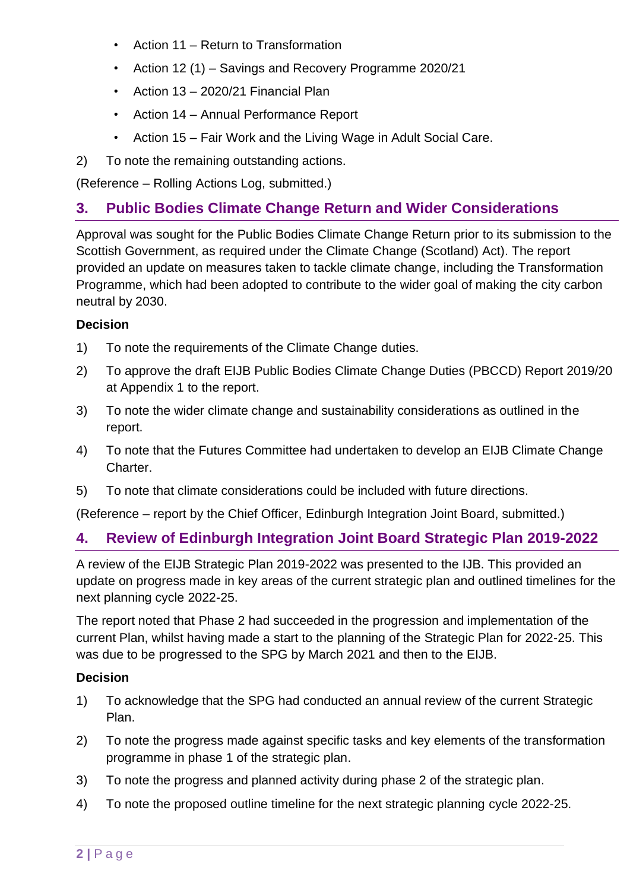- Action 11 Return to Transformation
- Action 12 (1) Savings and Recovery Programme 2020/21
- Action 13 2020/21 Financial Plan
- Action 14 Annual Performance Report
- Action 15 Fair Work and the Living Wage in Adult Social Care.
- 2) To note the remaining outstanding actions.

(Reference – Rolling Actions Log, submitted.)

## **3. Public Bodies Climate Change Return and Wider Considerations**

Approval was sought for the Public Bodies Climate Change Return prior to its submission to the Scottish Government, as required under the Climate Change (Scotland) Act). The report provided an update on measures taken to tackle climate change, including the Transformation Programme, which had been adopted to contribute to the wider goal of making the city carbon neutral by 2030.

#### **Decision**

- 1) To note the requirements of the Climate Change duties.
- 2) To approve the draft EIJB Public Bodies Climate Change Duties (PBCCD) Report 2019/20 at Appendix 1 to the report.
- 3) To note the wider climate change and sustainability considerations as outlined in the report.
- 4) To note that the Futures Committee had undertaken to develop an EIJB Climate Change Charter.
- 5) To note that climate considerations could be included with future directions.

(Reference – report by the Chief Officer, Edinburgh Integration Joint Board, submitted.)

## **4. Review of Edinburgh Integration Joint Board Strategic Plan 2019-2022**

A review of the EIJB Strategic Plan 2019-2022 was presented to the IJB. This provided an update on progress made in key areas of the current strategic plan and outlined timelines for the next planning cycle 2022-25.

The report noted that Phase 2 had succeeded in the progression and implementation of the current Plan, whilst having made a start to the planning of the Strategic Plan for 2022-25. This was due to be progressed to the SPG by March 2021 and then to the EIJB.

#### **Decision**

- 1) To acknowledge that the SPG had conducted an annual review of the current Strategic Plan.
- 2) To note the progress made against specific tasks and key elements of the transformation programme in phase 1 of the strategic plan.
- 3) To note the progress and planned activity during phase 2 of the strategic plan.
- 4) To note the proposed outline timeline for the next strategic planning cycle 2022-25.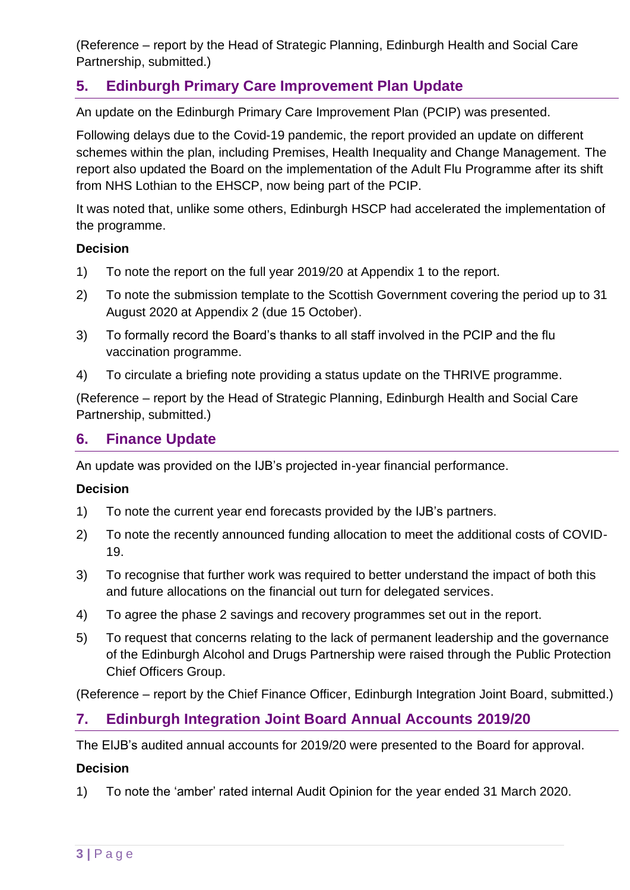(Reference – report by the Head of Strategic Planning, Edinburgh Health and Social Care Partnership, submitted.)

## **5. Edinburgh Primary Care Improvement Plan Update**

An update on the Edinburgh Primary Care Improvement Plan (PCIP) was presented.

Following delays due to the Covid-19 pandemic, the report provided an update on different schemes within the plan, including Premises, Health Inequality and Change Management. The report also updated the Board on the implementation of the Adult Flu Programme after its shift from NHS Lothian to the EHSCP, now being part of the PCIP.

It was noted that, unlike some others, Edinburgh HSCP had accelerated the implementation of the programme.

#### **Decision**

- 1) To note the report on the full year 2019/20 at Appendix 1 to the report.
- 2) To note the submission template to the Scottish Government covering the period up to 31 August 2020 at Appendix 2 (due 15 October).
- 3) To formally record the Board's thanks to all staff involved in the PCIP and the flu vaccination programme.
- 4) To circulate a briefing note providing a status update on the THRIVE programme.

(Reference – report by the Head of Strategic Planning, Edinburgh Health and Social Care Partnership, submitted.)

## **6. Finance Update**

An update was provided on the IJB's projected in-year financial performance.

#### **Decision**

- 1) To note the current year end forecasts provided by the IJB's partners.
- 2) To note the recently announced funding allocation to meet the additional costs of COVID-19.
- 3) To recognise that further work was required to better understand the impact of both this and future allocations on the financial out turn for delegated services.
- 4) To agree the phase 2 savings and recovery programmes set out in the report.
- 5) To request that concerns relating to the lack of permanent leadership and the governance of the Edinburgh Alcohol and Drugs Partnership were raised through the Public Protection Chief Officers Group.

(Reference – report by the Chief Finance Officer, Edinburgh Integration Joint Board, submitted.)

## **7. Edinburgh Integration Joint Board Annual Accounts 2019/20**

The EIJB's audited annual accounts for 2019/20 were presented to the Board for approval.

#### **Decision**

1) To note the 'amber' rated internal Audit Opinion for the year ended 31 March 2020.